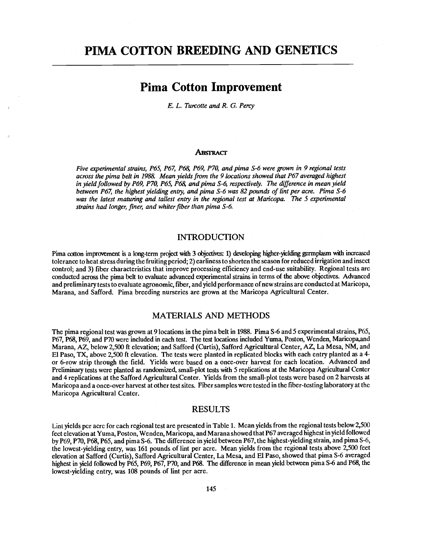## PIMA COTTON BREEDING AND GENETICS

# Pima Cotton Improvement

E. L. Turcotte and R. G. Percy

#### ABSTRACT

Five experimental strains, P65, P67, P68, P69, P70, and pima S-6 were grown in 9 regional tests across the pima belt in 1988. Mean yields from the 9 locations showed that P67 averaged highest in yield followed by P69, P70, P65, P68, and pima S-6, respectively. The difference in mean yield between P67, the highest yielding entry, and pima S-6 was 82 pounds of lint per acre. Pima S-6 was the latest maturing and tallest entry in the regional test at Maricopa. The 5 experimental strains had longer, finer, and whiter fiber than pima S-6.

#### INTRODUCTION

Pima cotton improvement is a long-term project with 3 objectives: 1) developing higher-yielding germplasm with increased tolerance to heat stress during the fruiting period; 2) earliness to shorten the season for reduced irrigation and insect control; and 3) fiber characteristics that improve processing efficiency and end -use suitability. Regional tests arc conducted across the pima belt to evaluate advanced experimental strains in terms of the above objectives. Advanced and preliminary tests to evaluate agronomic, fiber, and yield performance of new strains are conducted at Maricopa, Marana, and Safford. Pima breeding nurseries are grown at the Maricopa Agricultural Center.

### MATERIALS AND METHODS

The pima regional test was grown at 9 locations in the pima belt in 1988. Pima S-6 and 5 experimental strains, P65, P67, P68, P69, and P70 were included in each test. The test locations included Yuma, Poston, Wenden, Maricopa,and Marana, AZ, below 2,500 ft elevation; and Safford (Curtis), Safford Agricultural Center, AZ, La Mesa, NM, and El Paso, TX, above 2,500 ft elevation. The tests were planted in replicated blocks with each entry planted as a 4 or 6 -row strip through the field. Yields were based on a once -over harvest for each location. Advanced and Preliminary tests were planted as randomized, small-plot tests with 5 replications at the Maricopa Agricultural Center and 4 replications at the Safford Agricultural Center. Yields from the small -plot tests were based on 2 harvests at Maricopa and a once -over harvest at other test sites. Fiber samples were tested in the fiber- testing laboratory at the Maricopa Agricultural Center.

#### RESULTS

Lint yields per acre for each regional test are presented in Table 1. Mean yields from the regional tests below 2,500 feet elevation at Yuma, Poston, Wenden, Maricopa, and Marana showed that P67 averaged highest in yield followed by P69, P70, P68, P65, and pima S-6. The difference in yield between P67, the highest-yielding strain, and pima S-6, the lowest -yielding entry, was 161 pounds of lint per acre. Mean yields from the regional tests above 2,500 feet elevation at Safford (Curtis), Safford Agricultural Center, La Mesa, and El Paso, showed that pima S -6 averaged highest in yield followed by P65, P69, P67, P70, and P68. The difference in mean yield between pima S-6 and P68, the lowest-yielding entry, was 108 pounds of lint per acre.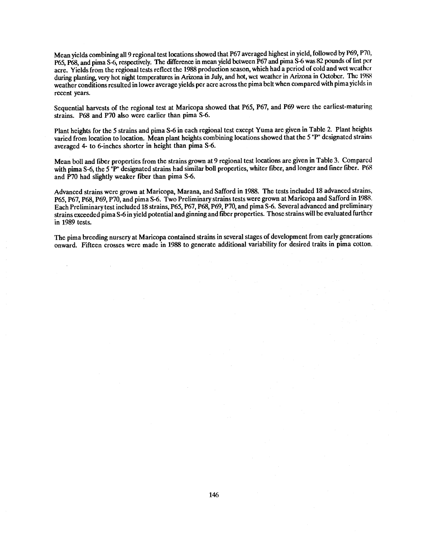Mean yields combining all 9 regional test locations showed that P67 averaged highest in yield, followed by P69, P70, P65, P68, and pima S-6, respectively. The difference in mean yield between P67 and pima S-6 was 82 pounds of lint per acre. Yields from the regional tests reflect the 1988 production season, which had a period of cold and wet weather during planting, very hot night temperatures in Arizona in July, and hot, wet weather in Arizona in October. The 1988 weather conditions resulted in lower average yields per acre across the pima belt when compared with pima yields in recent years.

Sequential harvests of the regional test at Maricopa showed that P65, P67, and P69 were the earliest-maturing strains. P68 and P70 also were earlier than pima S-6.

Plant heights for the 5 strains and pima S-6 in each regional test except Yuma are given in Table 2. Plant heights varied from location to location. Mean plant heights combining locations showed that the 5'P" designated strains averaged 4- to 6-inches shorter in height than pima S-6.

Mean boll and fiber properties from the strains grown at 9 regional test locations are given in Table 3. Compared with pima S-6, the 5 "P" designated strains had similar boll properties, whiter fiber, and longer and finer fiber. P68 and P70 had slightly weaker fiber than pima S-6.

Advanced strains were grown at Maricopa, Marana, and Safford in 1988. The tests included 18 advanced strains, P65, P67, P68, P69, P70, and pima S-6. Two Preliminary strains tests were grown at Maricopa and Safford in 1988. Each Preliminary test included 18 strains, P65, P67, P68, P69, P70, and pima S -6. Several advanced and preliminary strains exceeded pima S -6 in yield potential and ginning and fiber properties. Those strains will be evaluated further in 1989 tests.

The pima breeding nursery at Maricopa contained strains in several stages of development from early generations onward. Fifteen crosses were made in 1988 to generate additional variability for desired traits in pima cotton.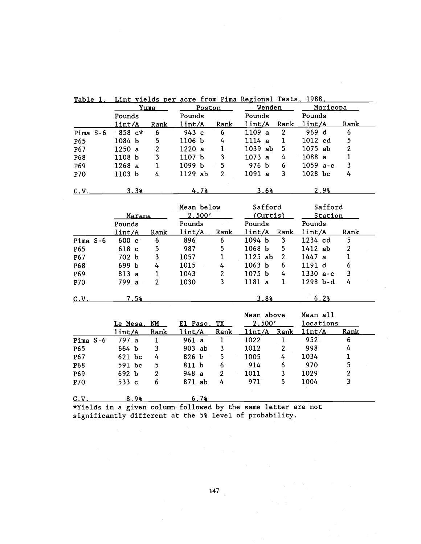|            | Yuma<br>Pounds          |                | Poston<br>Pounds                                              |                 | Wenden<br>Pounds  |                  | Maricopa<br>Pounds |                         |
|------------|-------------------------|----------------|---------------------------------------------------------------|-----------------|-------------------|------------------|--------------------|-------------------------|
|            |                         |                |                                                               |                 |                   |                  |                    |                         |
|            | $\frac{1\text{int}}{A}$ | Rank           | lint/A                                                        | Rank            | 1int/A            | Rank             | 1int/A             | Rank                    |
| Pima S-6   | $858 c*$                | 6              | 943 с                                                         | $6\phantom{.}6$ | 1109a             | $\boldsymbol{2}$ | 969 d              | 6                       |
| P65        | 1084 b                  | 5              | 1106 b                                                        | 4               | 1114a             | $\mathbf 1$      | 1012 cd            | 5                       |
| P67        | 1250a                   | $\overline{c}$ | 1220a                                                         | $\mathbf 1$     | 1039 ab           | 5                | 1075 ab            | $\boldsymbol{2}$        |
| P68        | 1108 b                  | 3              | 1107 b                                                        | 3               | 1073a             | 4                | 1088a              | $\mathbf{1}$            |
| P69        | 1268a                   | $\mathbf{1}$   | 1099 b                                                        | 5               | 976 b             | 6                | $1059$ a-c         | 3                       |
| P70        | 1103 <sub>b</sub>       | 4              | 1129 ab                                                       | $\overline{2}$  | 1091a             | 3                | 1028 bc            | 4                       |
| C.V.       | 3.3%                    |                | 4.7%                                                          |                 | 3.6%              |                  | 2.98               |                         |
|            |                         |                | Mean below                                                    |                 | Safford           |                  | Safford            |                         |
|            | Marana                  |                | 2,500'                                                        |                 | (Curtis)          |                  | Station            |                         |
|            | Pounds                  |                | Pounds                                                        |                 | Pounds            |                  | Pounds             |                         |
|            | 1int/A                  | Rank           | 1int/A                                                        | Rank            | lint/A Rank       |                  | 1int/A             | Rank                    |
| Pima $S-6$ | $600 \text{ c}$         | 6              | 896                                                           | 6               | 1094 b            | 3                | 1234 cd            | 5                       |
| P65        | 618 c                   | 5              | 987                                                           | 5               | 1068 <sub>b</sub> | 5                | 1412ab             | $\boldsymbol{2}$        |
| P67        | 702 b                   | 3              | 1057                                                          | 1               | 1125 ab           | $\overline{2}$   | 1447a              | $\mathbf 1$             |
| P68        | 699 b                   | $\overline{4}$ | 1015                                                          | 4               | 1063 <sub>b</sub> | 6                | 1191 d             | 6                       |
| P69        | 813 a                   | $\mathbf 1$    | 1043                                                          | $\overline{2}$  | 1075 <sub>b</sub> | 4                | $1330 a-c$         | 3                       |
| P70        | 799 a                   | $\overline{2}$ | 1030                                                          | 3               | 1181 a            | $\mathbf{1}$     | 1298 b-d           | $\overline{4}$          |
| C.V.       | 7.5%                    |                |                                                               |                 | 3.88              |                  | 6.2%               |                         |
|            |                         |                |                                                               |                 | Mean above        |                  | Mean all           |                         |
|            | Le Mesa, NM             |                | El Paso,                                                      | TX              | 2,500'            |                  | <b>locations</b>   |                         |
|            | lint/A                  | Rank           | lint/A                                                        | Rank            | 1int/A            | Rank             | 1int/A             | Rank                    |
| Pima $S-6$ | 797a                    | $\mathbf{1}$   | 961 a                                                         | $\mathbf{1}$    | 1022              | $\mathbf{1}$     | 952                | 6                       |
| P65        | 664 b                   | 3              | 903 ab                                                        | 3               | 1012              | $\mathbf{2}$     | 998                | 4                       |
| P67        | 621 bc                  | 4              | 826 b                                                         | 5               | 1005              | 4                | 1034               | $\mathbf 1$             |
| P68        | 591 bc                  | 5              | 811 b                                                         | 6               | 914               | 6                | 970                | 5                       |
| P69        | 692 b                   | $\overline{2}$ | 948a                                                          | $\overline{2}$  | 1011              | $\mathbf{3}$     | 1029               | $\boldsymbol{2}$        |
| P70        | 533 c                   | 6              | 871 ab                                                        | 4               | 971               | 5                | 1004               | $\overline{\mathbf{3}}$ |
| C.V.       | 8.9%                    |                | 6.7%                                                          |                 |                   |                  |                    |                         |
|            |                         |                | *Yields in a given column followed by the same letter are not |                 |                   |                  |                    |                         |
|            |                         |                | significantly different at the 5% level of probability.       |                 |                   |                  |                    |                         |

Table 1. Lint yields per acre from Pima Regional Tests. 1988.